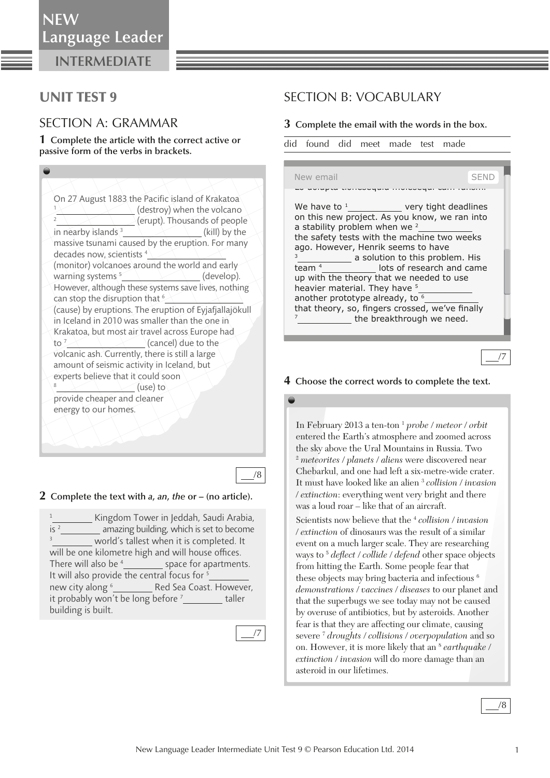## UNIT TEST 9

### SECTION A: GRAMMAR

**1 Complete the article with the correct active or passive form of the verbs in brackets.** 

On 27 August 1883 the Pacific island of Krakatoa 1  $\langle$  (destroy) when the volcano **Example 2** (erupt). Thousands of people in nearby islands 3 (kill) by the massive tsunami caused by the eruption. For many decades now, scientists 4 (monitor) volcanoes around the world and early warning systems<sup>5</sup> (develop). However, although these systems save lives, nothing can stop the disruption that <sup>6</sup> (cause) by eruptions. The eruption of Eyjafjallajökull in Iceland in 2010 was smaller than the one in Krakatoa, but most air travel across Europe had  $\frac{1}{2}$  (cancel) due to the volcanic ash. Currently, there is still a large amount of seismic activity in Iceland, but experts believe that it could soon 8  $\bigcup$  (use) to provide cheaper and cleaner energy to our homes.

#### **2 Complete the text with** *a* **,** *an* **,** *the* **or** *–* **(no article).**

*1 Kingdom Tower in Jeddah, Saudi Arabia, is 2 amazing building, which is set to become 3 world's tallest when it is completed. It*  will be one kilometre high and will house offices. *There will also be 4 space for apartments.*  It will also provide the central focus for  $^5$ *new city along 6 Red Sea Coast. However, it probably won't be long before 7 taller building is built.* 



/8

## SECTION B: VOCABULARY

#### **3 Complete the email with the words in the box.**

did found did meet made test made

Lo dolupta tionesequia moleseq New email SEND We have to  $1$  very tight deadlines on this new project. As you know, we ran into a stability problem when we  $2$  the safety tests with the machine two weeks ago. However, Henrik seems to have a solution to this problem. His team<sup>4</sup> lots of research and came up with the theory that we needed to use heavier material. They have <sup>5</sup> another prototype already, to <sup>6</sup> that theory, so, fingers crossed, we've finally the breakthrough we need.

/7

#### **4 Choose the correct words to complete the text.**

 In February 2013 a ten-ton 1 *probe* / *meteor* / *orbit* entered the Earth's atmosphere and zoomed across the sky above the Ural Mountains in Russia. Two 2 *meteorites* / *planets* / *aliens* were discovered near Chebarkul, and one had left a six-metre-wide crater. It must have looked like an alien 3 *collision* / *invasion*  / *extinction*: everything went very bright and there was a loud roar – like that of an aircraft. Scientists now believe that the 4 *collision* / *invasion*  / *extinction* of dinosaurs was the result of a similar event on a much larger scale. They are researching ways to <sup>5</sup> *deflect / collide / defend* other space objects from hitting the Earth. Some people fear that these objects may bring bacteria and infectious 6 *demonstrations* / *vaccines* / *diseases* to our planet and that the superbugs we see today may not be caused by overuse of antibiotics, but by asteroids. Another fear is that they are affecting our climate, causing severe 7 *droughts* / *collisions* / *overpopulation* and so on. However, it is more likely that an <sup>8</sup> earthquake / *extinction* / *invasion* will do more damage than an asteroid in our lifetimes.

/8